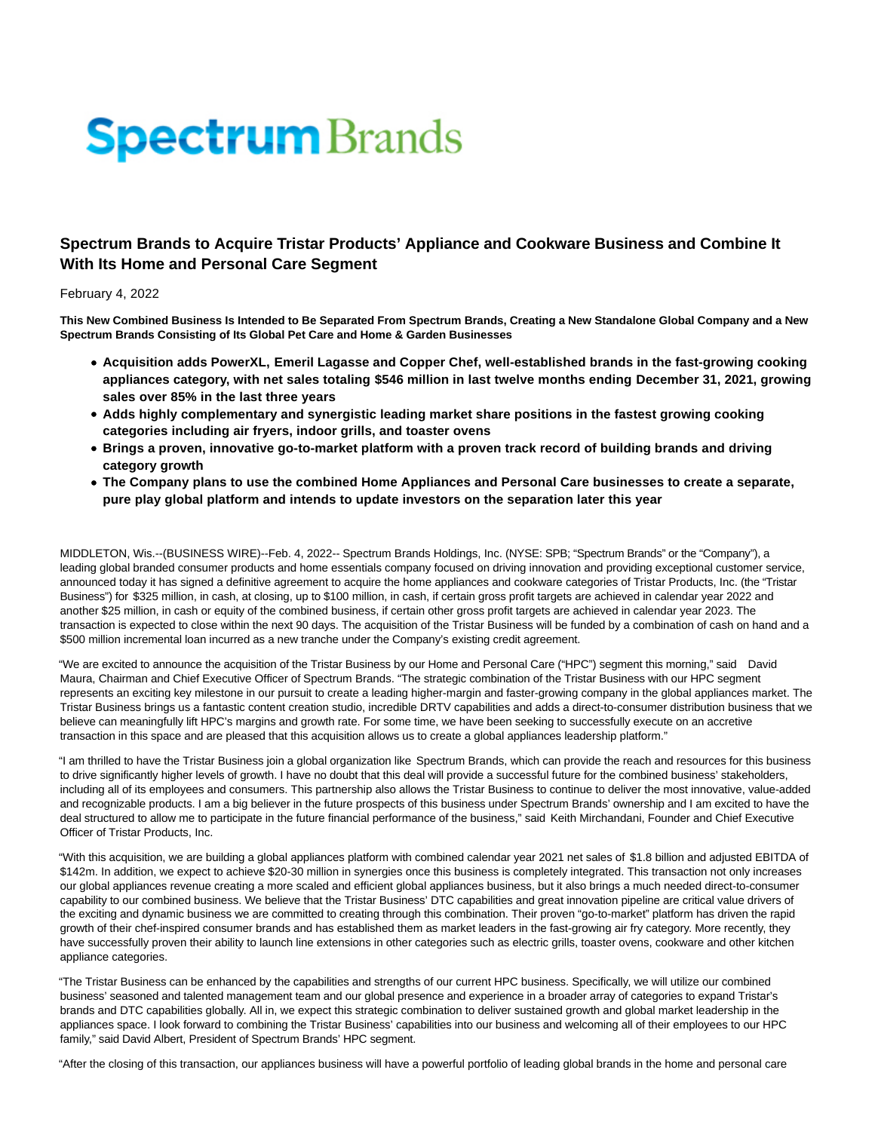# **Spectrum** Brands

## **Spectrum Brands to Acquire Tristar Products' Appliance and Cookware Business and Combine It With Its Home and Personal Care Segment**

#### February 4, 2022

**This New Combined Business Is Intended to Be Separated From Spectrum Brands, Creating a New Standalone Global Company and a New Spectrum Brands Consisting of Its Global Pet Care and Home & Garden Businesses**

- **Acquisition adds PowerXL, Emeril Lagasse and Copper Chef, well-established brands in the fast-growing cooking appliances category, with net sales totaling \$546 million in last twelve months ending December 31, 2021, growing sales over 85% in the last three years**
- **Adds highly complementary and synergistic leading market share positions in the fastest growing cooking categories including air fryers, indoor grills, and toaster ovens**
- **Brings a proven, innovative go-to-market platform with a proven track record of building brands and driving category growth**
- **The Company plans to use the combined Home Appliances and Personal Care businesses to create a separate, pure play global platform and intends to update investors on the separation later this year**

MIDDLETON, Wis.--(BUSINESS WIRE)--Feb. 4, 2022-- Spectrum Brands Holdings, Inc. (NYSE: SPB; "Spectrum Brands" or the "Company"), a leading global branded consumer products and home essentials company focused on driving innovation and providing exceptional customer service, announced today it has signed a definitive agreement to acquire the home appliances and cookware categories of Tristar Products, Inc. (the "Tristar Business") for \$325 million, in cash, at closing, up to \$100 million, in cash, if certain gross profit targets are achieved in calendar year 2022 and another \$25 million, in cash or equity of the combined business, if certain other gross profit targets are achieved in calendar year 2023. The transaction is expected to close within the next 90 days. The acquisition of the Tristar Business will be funded by a combination of cash on hand and a \$500 million incremental loan incurred as a new tranche under the Company's existing credit agreement.

"We are excited to announce the acquisition of the Tristar Business by our Home and Personal Care ("HPC") segment this morning," said David Maura, Chairman and Chief Executive Officer of Spectrum Brands. "The strategic combination of the Tristar Business with our HPC segment represents an exciting key milestone in our pursuit to create a leading higher-margin and faster-growing company in the global appliances market. The Tristar Business brings us a fantastic content creation studio, incredible DRTV capabilities and adds a direct-to-consumer distribution business that we believe can meaningfully lift HPC's margins and growth rate. For some time, we have been seeking to successfully execute on an accretive transaction in this space and are pleased that this acquisition allows us to create a global appliances leadership platform."

"I am thrilled to have the Tristar Business join a global organization like Spectrum Brands, which can provide the reach and resources for this business to drive significantly higher levels of growth. I have no doubt that this deal will provide a successful future for the combined business' stakeholders, including all of its employees and consumers. This partnership also allows the Tristar Business to continue to deliver the most innovative, value-added and recognizable products. I am a big believer in the future prospects of this business under Spectrum Brands' ownership and I am excited to have the deal structured to allow me to participate in the future financial performance of the business," said Keith Mirchandani, Founder and Chief Executive Officer of Tristar Products, Inc.

"With this acquisition, we are building a global appliances platform with combined calendar year 2021 net sales of \$1.8 billion and adjusted EBITDA of \$142m. In addition, we expect to achieve \$20-30 million in synergies once this business is completely integrated. This transaction not only increases our global appliances revenue creating a more scaled and efficient global appliances business, but it also brings a much needed direct-to-consumer capability to our combined business. We believe that the Tristar Business' DTC capabilities and great innovation pipeline are critical value drivers of the exciting and dynamic business we are committed to creating through this combination. Their proven "go-to-market" platform has driven the rapid growth of their chef-inspired consumer brands and has established them as market leaders in the fast-growing air fry category. More recently, they have successfully proven their ability to launch line extensions in other categories such as electric grills, toaster ovens, cookware and other kitchen appliance categories.

"The Tristar Business can be enhanced by the capabilities and strengths of our current HPC business. Specifically, we will utilize our combined business' seasoned and talented management team and our global presence and experience in a broader array of categories to expand Tristar's brands and DTC capabilities globally. All in, we expect this strategic combination to deliver sustained growth and global market leadership in the appliances space. I look forward to combining the Tristar Business' capabilities into our business and welcoming all of their employees to our HPC family," said David Albert, President of Spectrum Brands' HPC segment.

"After the closing of this transaction, our appliances business will have a powerful portfolio of leading global brands in the home and personal care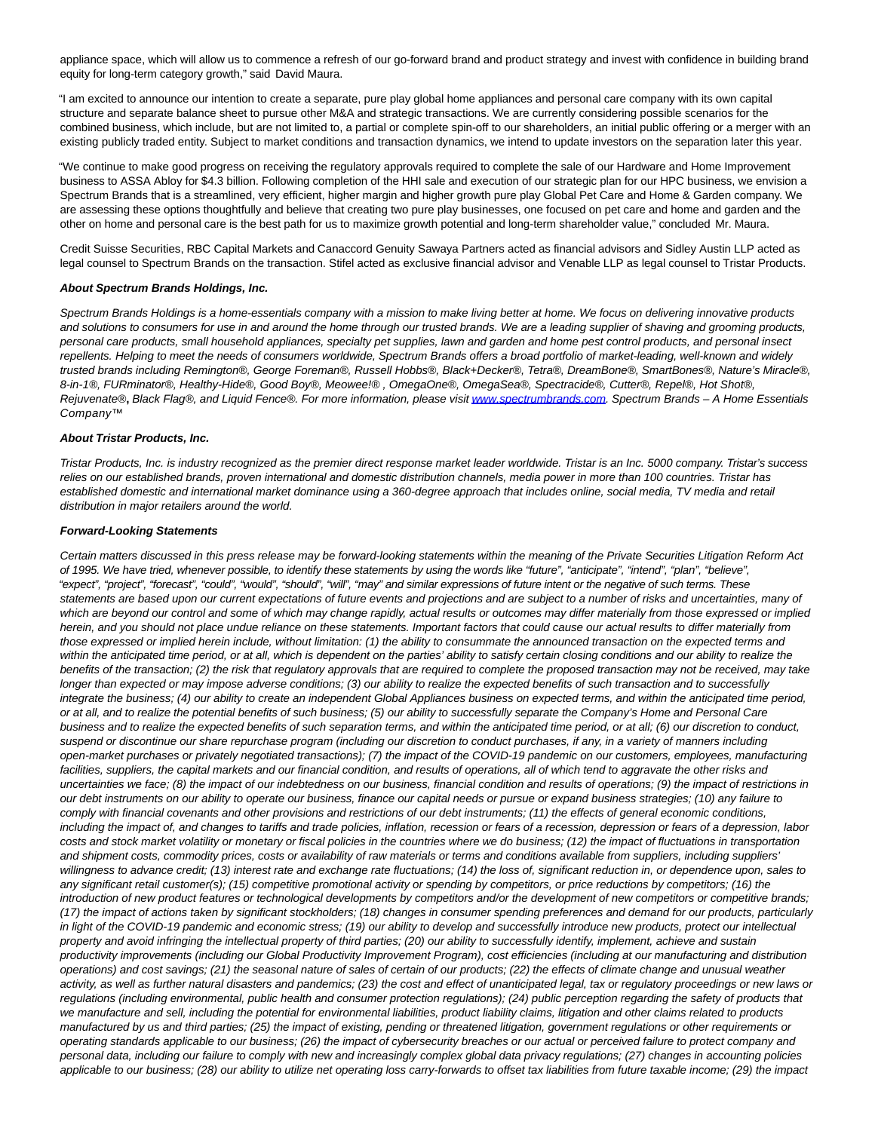appliance space, which will allow us to commence a refresh of our go-forward brand and product strategy and invest with confidence in building brand equity for long-term category growth," said David Maura.

"I am excited to announce our intention to create a separate, pure play global home appliances and personal care company with its own capital structure and separate balance sheet to pursue other M&A and strategic transactions. We are currently considering possible scenarios for the combined business, which include, but are not limited to, a partial or complete spin-off to our shareholders, an initial public offering or a merger with an existing publicly traded entity. Subject to market conditions and transaction dynamics, we intend to update investors on the separation later this year.

"We continue to make good progress on receiving the regulatory approvals required to complete the sale of our Hardware and Home Improvement business to ASSA Abloy for \$4.3 billion. Following completion of the HHI sale and execution of our strategic plan for our HPC business, we envision a Spectrum Brands that is a streamlined, very efficient, higher margin and higher growth pure play Global Pet Care and Home & Garden company. We are assessing these options thoughtfully and believe that creating two pure play businesses, one focused on pet care and home and garden and the other on home and personal care is the best path for us to maximize growth potential and long-term shareholder value," concluded Mr. Maura.

Credit Suisse Securities, RBC Capital Markets and Canaccord Genuity Sawaya Partners acted as financial advisors and Sidley Austin LLP acted as legal counsel to Spectrum Brands on the transaction. Stifel acted as exclusive financial advisor and Venable LLP as legal counsel to Tristar Products.

#### **About Spectrum Brands Holdings, Inc.**

Spectrum Brands Holdings is a home-essentials company with a mission to make living better at home. We focus on delivering innovative products and solutions to consumers for use in and around the home through our trusted brands. We are a leading supplier of shaving and grooming products, personal care products, small household appliances, specialty pet supplies, lawn and garden and home pest control products, and personal insect repellents. Helping to meet the needs of consumers worldwide, Spectrum Brands offers a broad portfolio of market-leading, well-known and widely trusted brands including Remington®, George Foreman®, Russell Hobbs®, Black+Decker®, Tetra®, DreamBone®, SmartBones®, Nature's Miracle®, 8-in-1®, FURminator®, Healthy-Hide®, Good Boy®, Meowee!® , OmegaOne®, OmegaSea®, Spectracide®, Cutter®, Repel®, Hot Shot®, Rejuvenate®**,** Black Flag®, and Liquid Fence®. For more information, please visi[t www.spectrumbrands.com.](https://cts.businesswire.com/ct/CT?id=smartlink&url=http%3A%2F%2Fwww.spectrumbrands.com&esheet=52574165&newsitemid=20220203006038&lan=en-US&anchor=www.spectrumbrands.com&index=1&md5=1cf5b6c9d850776fc6a03e8e4932b879) Spectrum Brands – A Home Essentials Company™

#### **About Tristar Products, Inc.**

Tristar Products, Inc. is industry recognized as the premier direct response market leader worldwide. Tristar is an Inc. 5000 company. Tristar's success relies on our established brands, proven international and domestic distribution channels, media power in more than 100 countries. Tristar has established domestic and international market dominance using a 360-degree approach that includes online, social media, TV media and retail distribution in major retailers around the world.

#### **Forward-Looking Statements**

Certain matters discussed in this press release may be forward-looking statements within the meaning of the Private Securities Litigation Reform Act of 1995. We have tried, whenever possible, to identify these statements by using the words like "future", "anticipate", "intend", "plan", "believe", "expect", "project", "forecast", "could", "would", "should", "will", "may" and similar expressions of future intent or the negative of such terms. These statements are based upon our current expectations of future events and projections and are subject to a number of risks and uncertainties, many of which are beyond our control and some of which may change rapidly, actual results or outcomes may differ materially from those expressed or implied herein, and you should not place undue reliance on these statements. Important factors that could cause our actual results to differ materially from those expressed or implied herein include, without limitation: (1) the ability to consummate the announced transaction on the expected terms and within the anticipated time period, or at all, which is dependent on the parties' ability to satisfy certain closing conditions and our ability to realize the benefits of the transaction; (2) the risk that regulatory approvals that are required to complete the proposed transaction may not be received, may take longer than expected or may impose adverse conditions; (3) our ability to realize the expected benefits of such transaction and to successfully integrate the business; (4) our ability to create an independent Global Appliances business on expected terms, and within the anticipated time period, or at all, and to realize the potential benefits of such business; (5) our ability to successfully separate the Company's Home and Personal Care business and to realize the expected benefits of such separation terms, and within the anticipated time period, or at all; (6) our discretion to conduct, suspend or discontinue our share repurchase program (including our discretion to conduct purchases, if any, in a variety of manners including open-market purchases or privately negotiated transactions); (7) the impact of the COVID-19 pandemic on our customers, employees, manufacturing facilities, suppliers, the capital markets and our financial condition, and results of operations, all of which tend to aggravate the other risks and uncertainties we face; (8) the impact of our indebtedness on our business, financial condition and results of operations; (9) the impact of restrictions in our debt instruments on our ability to operate our business, finance our capital needs or pursue or expand business strategies; (10) any failure to comply with financial covenants and other provisions and restrictions of our debt instruments; (11) the effects of general economic conditions, including the impact of, and changes to tariffs and trade policies, inflation, recession or fears of a recession, depression or fears of a depression, labor costs and stock market volatility or monetary or fiscal policies in the countries where we do business; (12) the impact of fluctuations in transportation and shipment costs, commodity prices, costs or availability of raw materials or terms and conditions available from suppliers, including suppliers' willingness to advance credit; (13) interest rate and exchange rate fluctuations; (14) the loss of, significant reduction in, or dependence upon, sales to any significant retail customer(s); (15) competitive promotional activity or spending by competitors, or price reductions by competitors; (16) the introduction of new product features or technological developments by competitors and/or the development of new competitors or competitive brands; (17) the impact of actions taken by significant stockholders; (18) changes in consumer spending preferences and demand for our products, particularly in light of the COVID-19 pandemic and economic stress; (19) our ability to develop and successfully introduce new products, protect our intellectual property and avoid infringing the intellectual property of third parties; (20) our ability to successfully identify, implement, achieve and sustain productivity improvements (including our Global Productivity Improvement Program), cost efficiencies (including at our manufacturing and distribution operations) and cost savings; (21) the seasonal nature of sales of certain of our products; (22) the effects of climate change and unusual weather activity, as well as further natural disasters and pandemics; (23) the cost and effect of unanticipated legal, tax or regulatory proceedings or new laws or regulations (including environmental, public health and consumer protection regulations); (24) public perception regarding the safety of products that we manufacture and sell, including the potential for environmental liabilities, product liability claims, litigation and other claims related to products manufactured by us and third parties; (25) the impact of existing, pending or threatened litigation, government regulations or other requirements or operating standards applicable to our business; (26) the impact of cybersecurity breaches or our actual or perceived failure to protect company and personal data, including our failure to comply with new and increasingly complex global data privacy regulations; (27) changes in accounting policies applicable to our business; (28) our ability to utilize net operating loss carry-forwards to offset tax liabilities from future taxable income; (29) the impact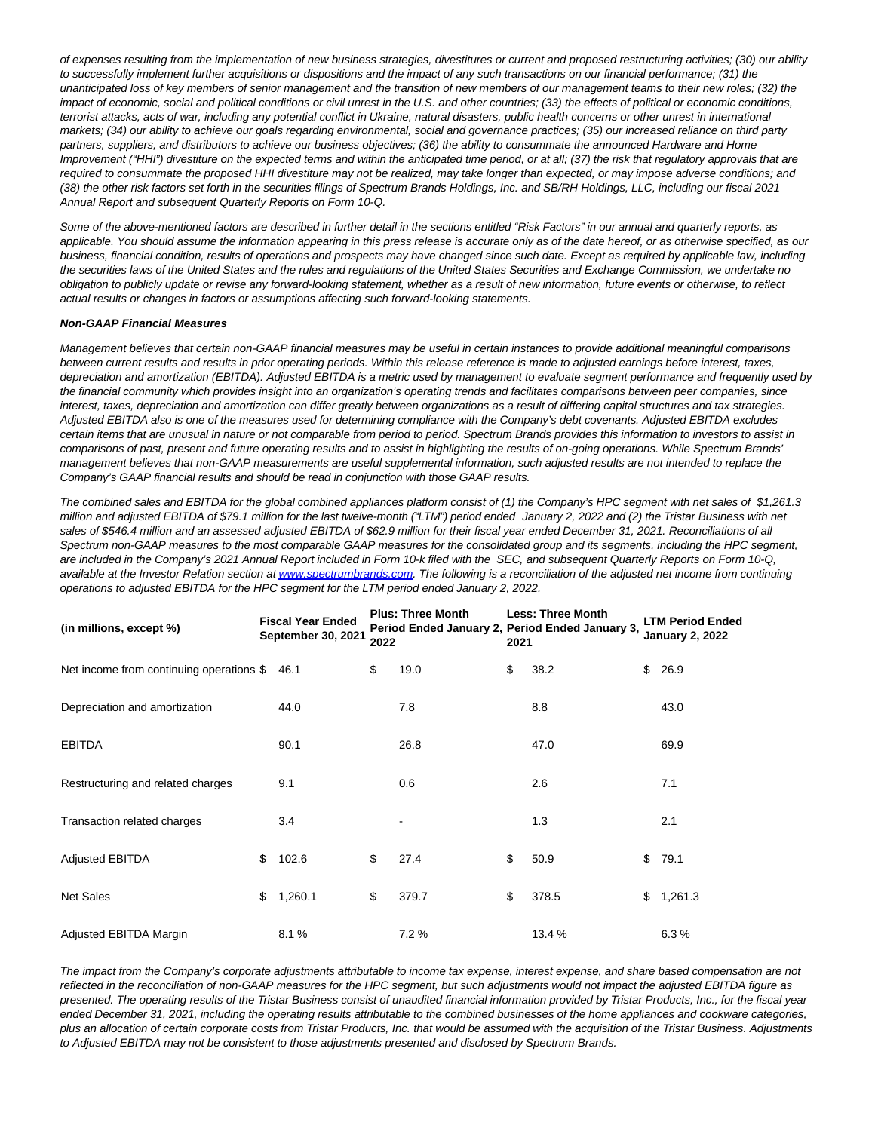of expenses resulting from the implementation of new business strategies, divestitures or current and proposed restructuring activities; (30) our ability to successfully implement further acquisitions or dispositions and the impact of any such transactions on our financial performance; (31) the unanticipated loss of key members of senior management and the transition of new members of our management teams to their new roles; (32) the impact of economic, social and political conditions or civil unrest in the U.S. and other countries; (33) the effects of political or economic conditions, terrorist attacks, acts of war, including any potential conflict in Ukraine, natural disasters, public health concerns or other unrest in international markets; (34) our ability to achieve our goals regarding environmental, social and governance practices; (35) our increased reliance on third party partners, suppliers, and distributors to achieve our business objectives; (36) the ability to consummate the announced Hardware and Home Improvement ("HHI") divestiture on the expected terms and within the anticipated time period, or at all; (37) the risk that regulatory approvals that are required to consummate the proposed HHI divestiture may not be realized, may take longer than expected, or may impose adverse conditions; and (38) the other risk factors set forth in the securities filings of Spectrum Brands Holdings, Inc. and SB/RH Holdings, LLC, including our fiscal 2021 Annual Report and subsequent Quarterly Reports on Form 10-Q.

Some of the above-mentioned factors are described in further detail in the sections entitled "Risk Factors" in our annual and quarterly reports, as applicable. You should assume the information appearing in this press release is accurate only as of the date hereof, or as otherwise specified, as our business, financial condition, results of operations and prospects may have changed since such date. Except as required by applicable law, including the securities laws of the United States and the rules and regulations of the United States Securities and Exchange Commission, we undertake no obligation to publicly update or revise any forward-looking statement, whether as a result of new information, future events or otherwise, to reflect actual results or changes in factors or assumptions affecting such forward-looking statements.

#### **Non-GAAP Financial Measures**

Management believes that certain non-GAAP financial measures may be useful in certain instances to provide additional meaningful comparisons between current results and results in prior operating periods. Within this release reference is made to adjusted earnings before interest, taxes, depreciation and amortization (EBITDA). Adjusted EBITDA is a metric used by management to evaluate segment performance and frequently used by the financial community which provides insight into an organization's operating trends and facilitates comparisons between peer companies, since interest, taxes, depreciation and amortization can differ greatly between organizations as a result of differing capital structures and tax strategies. Adjusted EBITDA also is one of the measures used for determining compliance with the Company's debt covenants. Adjusted EBITDA excludes certain items that are unusual in nature or not comparable from period to period. Spectrum Brands provides this information to investors to assist in comparisons of past, present and future operating results and to assist in highlighting the results of on-going operations. While Spectrum Brands' management believes that non-GAAP measurements are useful supplemental information, such adjusted results are not intended to replace the Company's GAAP financial results and should be read in conjunction with those GAAP results.

The combined sales and EBITDA for the global combined appliances platform consist of (1) the Company's HPC segment with net sales of \$1,261.3 million and adjusted EBITDA of \$79.1 million for the last twelve-month ("LTM") period ended January 2, 2022 and (2) the Tristar Business with net sales of \$546.4 million and an assessed adjusted EBITDA of \$62.9 million for their fiscal year ended December 31, 2021. Reconciliations of all Spectrum non-GAAP measures to the most comparable GAAP measures for the consolidated group and its segments, including the HPC segment, are included in the Company's 2021 Annual Report included in Form 10-k filed with the SEC, and subsequent Quarterly Reports on Form 10-Q, available at the Investor Relation section a[t www.spectrumbrands.com.](https://cts.businesswire.com/ct/CT?id=smartlink&url=http%3A%2F%2Fwww.spectrumbrands.com&esheet=52574165&newsitemid=20220203006038&lan=en-US&anchor=www.spectrumbrands.com&index=2&md5=0684f0957a6a3c3d471db8e751167499) The following is a reconciliation of the adjusted net income from continuing operations to adjusted EBITDA for the HPC segment for the LTM period ended January 2, 2022.

| (in millions, except %)                      | <b>Fiscal Year Ended</b><br>September 30, 2021 | 2022 | <b>Plus: Three Month</b> | 2021 | <b>Less: Three Month</b><br>Period Ended January 2, Period Ended January 3, | <b>LTM Period Ended</b><br><b>January 2, 2022</b> |
|----------------------------------------------|------------------------------------------------|------|--------------------------|------|-----------------------------------------------------------------------------|---------------------------------------------------|
| Net income from continuing operations \$46.1 |                                                | \$   | 19.0                     | \$   | 38.2                                                                        | \$<br>26.9                                        |
| Depreciation and amortization                | 44.0                                           |      | 7.8                      |      | 8.8                                                                         | 43.0                                              |
| <b>EBITDA</b>                                | 90.1                                           |      | 26.8                     |      | 47.0                                                                        | 69.9                                              |
| Restructuring and related charges            | 9.1                                            |      | 0.6                      |      | 2.6                                                                         | 7.1                                               |
| Transaction related charges                  | 3.4                                            |      |                          |      | 1.3                                                                         | 2.1                                               |
| <b>Adjusted EBITDA</b>                       | \$<br>102.6                                    | \$   | 27.4                     | \$   | 50.9                                                                        | \$<br>79.1                                        |
| <b>Net Sales</b>                             | \$<br>1,260.1                                  | \$   | 379.7                    | \$   | 378.5                                                                       | \$<br>1,261.3                                     |
| Adjusted EBITDA Margin                       | 8.1%                                           |      | 7.2%                     |      | 13.4 %                                                                      | 6.3%                                              |

The impact from the Company's corporate adjustments attributable to income tax expense, interest expense, and share based compensation are not reflected in the reconciliation of non-GAAP measures for the HPC segment, but such adjustments would not impact the adjusted EBITDA figure as presented. The operating results of the Tristar Business consist of unaudited financial information provided by Tristar Products, Inc., for the fiscal year ended December 31, 2021, including the operating results attributable to the combined businesses of the home appliances and cookware categories, plus an allocation of certain corporate costs from Tristar Products, Inc. that would be assumed with the acquisition of the Tristar Business. Adjustments to Adjusted EBITDA may not be consistent to those adjustments presented and disclosed by Spectrum Brands.